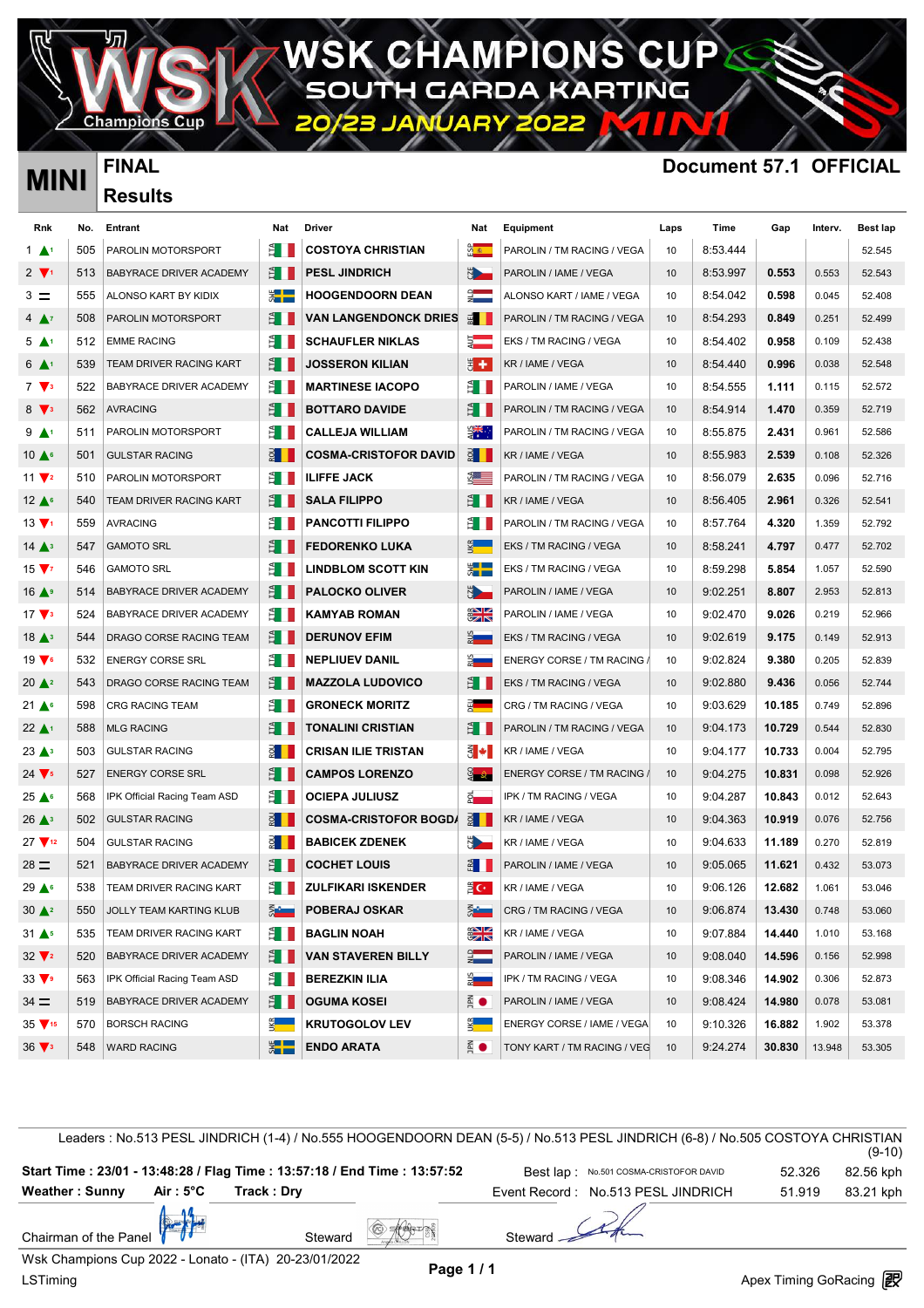**AMPIO NSC** IN DА

Champion

## **MINI FINAL Document 57.1 OFFICIAL**

| <b>MINI</b>                   |     | . പ                            |                                                                                                                                                                                                                                |                              |                          |                                   |                  | וסטעווופווג טו רי ויטוח |        |         |          |
|-------------------------------|-----|--------------------------------|--------------------------------------------------------------------------------------------------------------------------------------------------------------------------------------------------------------------------------|------------------------------|--------------------------|-----------------------------------|------------------|-------------------------|--------|---------|----------|
|                               |     | <b>Results</b>                 |                                                                                                                                                                                                                                |                              |                          |                                   |                  |                         |        |         |          |
| Rnk                           | No. | Entrant                        | Nat                                                                                                                                                                                                                            | Driver                       | Nat                      | Equipment                         | Laps             | Time                    | Gap    | Interv. | Best lap |
| $1 \blacktriangle$            | 505 | PAROLIN MOTORSPORT             | ĔΠ                                                                                                                                                                                                                             | <b>COSTOYA CHRISTIAN</b>     | <u>ी क</u>               | PAROLIN / TM RACING / VEGA        | 10               | 8:53.444                |        |         | 52.545   |
| $2 \sqrt{1}$                  | 513 | <b>BABYRACE DRIVER ACADEMY</b> | ÈН                                                                                                                                                                                                                             | <b>PESL JINDRICH</b>         | <b>N</b>                 | PAROLIN / IAME / VEGA             | 10               | 8:53.997                | 0.553  | 0.553   | 52.543   |
| $3 =$                         | 555 | ALONSO KART BY KIDIX           | ▓▐▆                                                                                                                                                                                                                            | <b>HOOGENDOORN DEAN</b>      | <u>੍ਰੀ ਵ</u>             | ALONSO KART / IAME / VEGA         | 10               | 8:54.042                | 0.598  | 0.045   | 52.408   |
| $4 \Delta^7$                  | 508 | PAROLIN MOTORSPORT             | ĕН                                                                                                                                                                                                                             | <b>VAN LANGENDONCK DRIES</b> | $\overline{5}$           | PAROLIN / TM RACING / VEGA        | 10               | 8:54.293                | 0.849  | 0.251   | 52.499   |
| $5 \blacktriangle^1$          | 512 | <b>EMME RACING</b>             | ĔΗ                                                                                                                                                                                                                             | <b>SCHAUFLER NIKLAS</b>      | 5 —                      | EKS / TM RACING / VEGA            | 10               | 8:54.402                | 0.958  | 0.109   | 52.438   |
| $6 \triangle$ <sup>1</sup>    | 539 | TEAM DRIVER RACING KART        | ÈН                                                                                                                                                                                                                             | <b>JOSSERON KILIAN</b>       | ₩.                       | KR / IAME / VEGA                  | 10               | 8:54.440                | 0.996  | 0.038   | 52.548   |
| $7 \sqrt{3}$                  | 522 | BABYRACE DRIVER ACADEMY        | ĔΠ                                                                                                                                                                                                                             | <b>MARTINESE IACOPO</b>      | £П                       | PAROLIN / IAME / VEGA             | 10               | 8:54.555                | 1.111  | 0.115   | 52.572   |
| $8 \sqrt{3}$                  | 562 | <b>AVRACING</b>                | E I                                                                                                                                                                                                                            | <b>BOTTARO DAVIDE</b>        | E I                      | PAROLIN / TM RACING / VEGA        | 10               | 8:54.914                | 1.470  | 0.359   | 52.719   |
| $9 \wedge$                    | 511 | PAROLIN MOTORSPORT             | ĒΗ                                                                                                                                                                                                                             | <b>CALLEJA WILLIAM</b>       | ⋛₹                       | PAROLIN / TM RACING / VEGA        | 10               | 8:55.875                | 2.431  | 0.961   | 52.586   |
| $10 \triangle$                | 501 | <b>GULSTAR RACING</b>          | <u> 2 II</u>                                                                                                                                                                                                                   | <b>COSMA-CRISTOFOR DAVID</b> | $\vec{z}$ $\parallel$    | KR / IAME / VEGA                  | 10               | 8:55.983                | 2.539  | 0.108   | 52.326   |
| $11 \sqrt{2}$                 | 510 | <b>PAROLIN MOTORSPORT</b>      | ÊΗ                                                                                                                                                                                                                             | <b>ILIFFE JACK</b>           | ▓▆▆                      | PAROLIN / TM RACING / VEGA        | 10               | 8:56.079                | 2.635  | 0.096   | 52.716   |
| $12 \triangle$                | 540 | <b>TEAM DRIVER RACING KART</b> | ĕН                                                                                                                                                                                                                             | <b>SALA FILIPPO</b>          | Ê III                    | KR / IAME / VEGA                  | 10               | 8:56.405                | 2.961  | 0.326   | 52.541   |
| $13 \sqrt{1}$                 | 559 | <b>AVRACING</b>                | ÈН                                                                                                                                                                                                                             | <b>PANCOTTI FILIPPO</b>      | ĕН                       | PAROLIN / TM RACING / VEGA        | 10               | 8:57.764                | 4.320  | 1.359   | 52.792   |
| $14$ $\triangle$ <sup>3</sup> | 547 | <b>GAMOTO SRL</b>              | ĔΗ                                                                                                                                                                                                                             | <b>FEDORENKO LUKA</b>        |                          | EKS / TM RACING / VEGA            | 10               | 8:58.241                | 4.797  | 0.477   | 52.702   |
| $15 \sqrt{7}$                 | 546 | <b>GAMOTO SRL</b>              | ĔН                                                                                                                                                                                                                             | <b>LINDBLOM SCOTT KIN</b>    | ▓▐▆                      | EKS / TM RACING / VEGA            | 10               | 8:59.298                | 5.854  | 1.057   | 52.590   |
| $16 \triangle$                | 514 | BABYRACE DRIVER ACADEMY        | ÊН                                                                                                                                                                                                                             | <b>PALOCKO OLIVER</b>        | <b>N</b>                 | PAROLIN / IAME / VEGA             | 10               | 9:02.251                | 8.807  | 2.953   | 52.813   |
| $17 \sqrt{3}$                 | 524 | BABYRACE DRIVER ACADEMY        | ĕН                                                                                                                                                                                                                             | KAMYAB ROMAN                 | $\frac{1}{2}$            | PAROLIN / IAME / VEGA             | 10               | 9:02.470                | 9.026  | 0.219   | 52.966   |
| 18 <sup>3</sup>               | 544 | DRAGO CORSE RACING TEAM        | Ê I                                                                                                                                                                                                                            | <b>DERUNOV EFIM</b>          | $rac{5}{2}$              | EKS / TM RACING / VEGA            | 10               | 9:02.619                | 9.175  | 0.149   | 52.913   |
| $19 \sqrt{6}$                 | 532 | <b>ENERGY CORSE SRL</b>        | ÈΗ                                                                                                                                                                                                                             | <b>NEPLIUEV DANIL</b>        | $\frac{5}{6}$            | ENERGY CORSE / TM RACING /        | 10               | 9:02.824                | 9.380  | 0.205   | 52.839   |
| $20 \triangle 2$              | 543 | DRAGO CORSE RACING TEAM        | ĔН                                                                                                                                                                                                                             | <b>MAZZOLA LUDOVICO</b>      | ÊН                       | EKS / TM RACING / VEGA            | 10               | 9:02.880                | 9.436  | 0.056   | 52.744   |
| $21 \triangle$                | 598 | <b>CRG RACING TEAM</b>         | £Π                                                                                                                                                                                                                             | <b>GRONECK MORITZ</b>        | 핏                        | CRG / TM RACING / VEGA            | 10               | 9:03.629                | 10.185 | 0.749   | 52.896   |
| $22 \triangle$ <sup>1</sup>   | 588 | <b>MLG RACING</b>              | ĔН                                                                                                                                                                                                                             | <b>TONALINI CRISTIAN</b>     | ÊН                       | PAROLIN / TM RACING / VEGA        | 10               | 9:04.173                | 10.729 | 0.544   | 52.830   |
| 23 <sup>3</sup>               | 503 | <b>GULSTAR RACING</b>          |                                                                                                                                                                                                                                | <b>CRISAN ILIE TRISTAN</b>   | $\overline{3}$ $\bullet$ | KR / IAME / VEGA                  | 10               | 9:04.177                | 10.733 | 0.004   | 52.795   |
| $24 \sqrt{s}$                 | 527 | <b>ENERGY CORSE SRL</b>        | ĔН                                                                                                                                                                                                                             | <b>CAMPOS LORENZO</b>        | ہے ت                     | <b>ENERGY CORSE / TM RACING /</b> | 10               | 9:04.275                | 10.831 | 0.098   | 52.926   |
| $25 \triangle$                | 568 | IPK Official Racing Team ASD   | £Π                                                                                                                                                                                                                             | <b>OCIEPA JULIUSZ</b>        | $\bar{\mathbf{S}}$       | IPK / TM RACING / VEGA            | 10               | 9:04.287                | 10.843 | 0.012   | 52.643   |
| $26 \triangle$ <sup>3</sup>   | 502 | <b>GULSTAR RACING</b>          |                                                                                                                                                                                                                                | <b>COSMA-CRISTOFOR BOGDA</b> | $\frac{1}{2}$            | KR / IAME / VEGA                  | 10               | 9:04.363                | 10.919 | 0.076   | 52.756   |
| $27 \sqrt{12}$                | 504 | <b>GULSTAR RACING</b>          | $\overline{z}$                                                                                                                                                                                                                 | <b>BABICEK ZDENEK</b>        | N.                       | KR / IAME / VEGA                  | 10               | 9:04.633                | 11.189 | 0.270   | 52.819   |
| $28 =$                        | 521 | BABYRACE DRIVER ACADEMY        | E I                                                                                                                                                                                                                            | <b>COCHET LOUIS</b>          | $rac{1}{2}$              | PAROLIN / IAME / VEGA             | 10 <sup>10</sup> | 9:05.065                | 11.621 | 0.432   | 53.073   |
| $29 \triangle$                | 538 | TEAM DRIVER RACING KART        | È II                                                                                                                                                                                                                           | <b>ZULFIKARI ISKENDER</b>    | ≣ C∗ I                   | KR / IAME / VEGA                  | 10               | 9:06.126                | 12.682 | 1.061   | 53.046   |
| $30 \triangle 2$              | 550 | JOLLY TEAM KARTING KLUB        | <b>SALE</b>                                                                                                                                                                                                                    | POBERAJ OSKAR                | <b>External</b>          | CRG / TM RACING / VEGA            | 10               | 9:06.874                | 13.430 | 0.748   | 53.060   |
| $31 \triangle 5$              | 535 | <b>TEAM DRIVER RACING KART</b> | Ê II                                                                                                                                                                                                                           | <b>BAGLIN NOAH</b>           | $\frac{1}{2}$            | KR / IAME / VEGA                  | 10               | 9:07.884                | 14.440 | 1.010   | 53.168   |
| $32 \sqrt{2}$                 | 520 | BABYRACE DRIVER ACADEMY        | Ê I                                                                                                                                                                                                                            | <b>VAN STAVEREN BILLY</b>    | $\frac{1}{2}$            | PAROLIN / IAME / VEGA             | 10               | 9:08.040                | 14.596 | 0.156   | 52.998   |
| $33 \triangledown$            | 563 | IPK Official Racing Team ASD   | È II                                                                                                                                                                                                                           | <b>BEREZKIN ILIA</b>         | Ž <b>e pri</b>           | IPK / TM RACING / VEGA            | 10               | 9:08.346                | 14.902 | 0.306   | 52.873   |
| $34 =$                        | 519 | BABYRACE DRIVER ACADEMY        | Ê L                                                                                                                                                                                                                            | <b>OGUMA KOSEI</b>           | $\frac{2}{n}$ $\bullet$  | PAROLIN / IAME / VEGA             | 10               | 9:08.424                | 14.980 | 0.078   | 53.081   |
| $35\sqrt{15}$                 | 570 | <b>BORSCH RACING</b>           | use and the set of the set of the set of the set of the set of the set of the set of the set of the set of the set of the set of the set of the set of the set of the set of the set of the set of the set of the set of the s | <b>KRUTOGOLOV LEV</b>        | $rac{1}{2}$              | ENERGY CORSE / IAME / VEGA        | 10               | 9:10.326                | 16.882 | 1.902   | 53.378   |
| $36\sqrt{3}$                  | 548 | <b>WARD RACING</b>             | $\frac{1}{2}$                                                                                                                                                                                                                  | <b>ENDO ARATA</b>            | $\frac{1}{n}$ $\bullet$  | TONY KART / TM RACING / VEG       | 10               | 9:24.274                | 30.830 | 13.948  | 53.305   |
|                               |     |                                |                                                                                                                                                                                                                                |                              |                          |                                   |                  |                         |        |         |          |

Chairman of the Panel **Steward Steward Steward Steward Steward** Leaders : No.513 PESL JINDRICH (1-4) / No.555 HOOGENDOORN DEAN (5-5) / No.513 PESL JINDRICH (6-8) / No.505 COSTOYA CHRISTIAN (9-10) Start Time : 23/01 - 13:48:28 / Flag Time : 13:57:18 / End Time : 13:57:52 Best lap : No.501 COSMA-CRISTOFOR DAVID 82.326 82.56 kph Weather : Sunny Air : 5°C Track : Dry **Executed State Conditional Event Record** : No.513 PESL JINDRICH 51.919 83.21 kph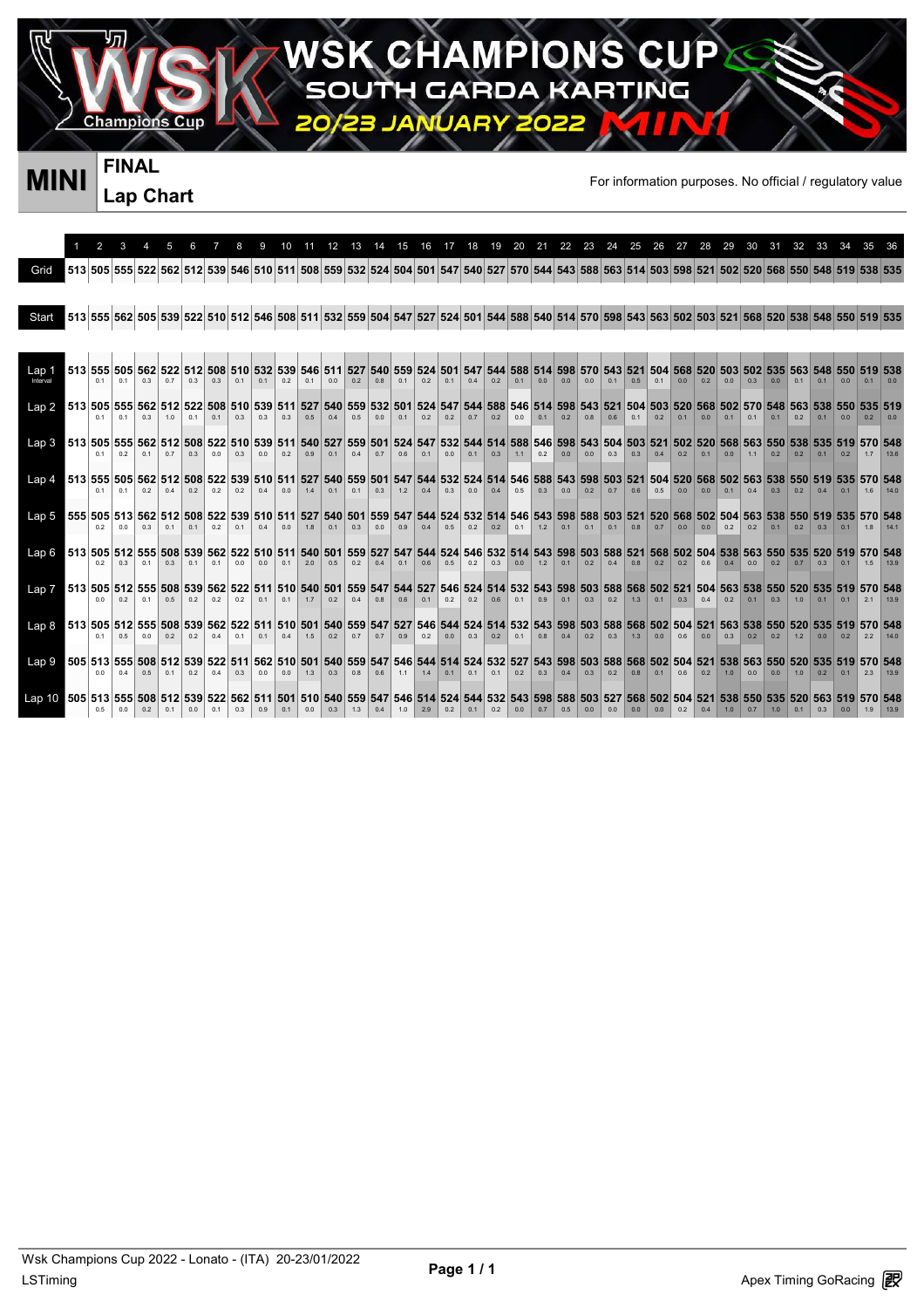**CHAMPIONS CU GARDA RTING** KA ÷

JA

**FINAL Lap Chart** 

Champion

**MINI** FINAL FINAL **FINAL** 

P

|                                                                                                                                                       |                                                                                                                                         |                    |     |     |                |                |                |                |                |                |                       | 12             | 1.3                                                    | 14  | 15             | 16         | 17             | 18         | 19         | 20         | 21 22 23 |     |                                            | 24  | 25  |                    | 26 27 28 |                | 29             | 30           | 31                                     | 32  | 33             |                |                                                                                                                                                           |      |
|-------------------------------------------------------------------------------------------------------------------------------------------------------|-----------------------------------------------------------------------------------------------------------------------------------------|--------------------|-----|-----|----------------|----------------|----------------|----------------|----------------|----------------|-----------------------|----------------|--------------------------------------------------------|-----|----------------|------------|----------------|------------|------------|------------|----------|-----|--------------------------------------------|-----|-----|--------------------|----------|----------------|----------------|--------------|----------------------------------------|-----|----------------|----------------|-----------------------------------------------------------------------------------------------------------------------------------------------------------|------|
| Grid                                                                                                                                                  |                                                                                                                                         |                    |     |     |                |                |                |                |                |                |                       |                |                                                        |     |                |            |                |            |            |            |          |     |                                            |     |     |                    |          |                |                |              |                                        |     |                |                | 513 505 555 522 562 512 539 546 510 511 508 559 532 524 504 501 547 540 527 570 544 543 588 563 514 503 598 521 502 520 568 550 548 519 535               |      |
|                                                                                                                                                       |                                                                                                                                         |                    |     |     |                |                |                |                |                |                |                       |                |                                                        |     |                |            |                |            |            |            |          |     |                                            |     |     |                    |          |                |                |              |                                        |     |                |                |                                                                                                                                                           |      |
| Start                                                                                                                                                 |                                                                                                                                         |                    |     |     |                |                |                |                |                |                |                       |                |                                                        |     |                |            |                |            |            |            |          |     |                                            |     |     |                    |          |                |                |              |                                        |     |                |                | 535 562 566 562 578 589 522 510 512 546 508 511 532 559 504 547 527 524 501 544 588 540 514 570 598 543 563 502 503 521 568 520 538 548 550 513           |      |
|                                                                                                                                                       |                                                                                                                                         |                    |     |     |                |                |                |                |                |                |                       |                |                                                        |     |                |            |                |            |            |            |          |     |                                            |     |     |                    |          |                |                |              |                                        |     |                |                |                                                                                                                                                           |      |
| Lap <sub>1</sub><br>Interval                                                                                                                          |                                                                                                                                         | 513 555 505<br>0.1 | 0.1 | 0.3 | 562 522<br>0.7 | 0.3            | 508<br>0.3     | 0 <sub>1</sub> | 0 <sub>1</sub> | 0.2            | 546<br>0 <sub>1</sub> | 511<br>0.0     | 527<br>0.2                                             | 0.8 | 540 559<br>0.1 | 524<br>0.2 | 501<br>0.1     | 547<br>0.4 | 544<br>0.2 | 588<br>0.1 | 0.0      | 0.0 | 514 598 570 543<br>0.0                     | 0.1 | 0.5 | 0.1                | 0.0      | 0.2            | 0 <sub>0</sub> | 0.3          | 521 504 568 520 503 502 535 563<br>0.0 | 0.1 | 0.1            |                |                                                                                                                                                           |      |
| Lap2                                                                                                                                                  | 538 562 570 548 562 512 522 508 510 539 511 527 540 559 532 501 524 547 544 588 546 514 598 543 521 504 503 520 568 502 570 548 563 538 | 0.1                | 0.1 | 0.3 | 10             | 0.1            | 0.1            | 0.3            | 0.3            | 0.3            | 0.5                   | 0.4            | 0.5                                                    | 0.0 | 0.1            | 0.2        | 0.2            | 0.7        | 0.2        | 0.0        | 0.1      | 0.2 | 0.8                                        | 0.6 | 0.1 | 0.2                | 0.1      | 0 <sub>0</sub> | 0.1            | 0.1          | 0.1                                    | 0.2 | 0.1            | 0 <sub>0</sub> | 0 <sub>2</sub>                                                                                                                                            |      |
| Lap <sub>3</sub>                                                                                                                                      |                                                                                                                                         | 0.1                | 0.2 | 0.1 | 0.7            | 0.3            | 0 <sub>0</sub> | 0.3            | 0 <sub>0</sub> | 0.2            | 0.9                   | 0.1            | 04                                                     | 0.7 | 06             | 0.1        | 0 <sub>0</sub> | 0.1        | 0.3        | 1.1        | 0.2      | 0.0 | 0 <sub>0</sub>                             | 0.3 | 0.3 | 04                 | 0.2      | 0.1            | 0.0            | 11           | 0.2                                    | 0.2 | 0.1            | 0 <sub>2</sub> | 548 570 570 576 562 512 508 522 510 529 511 540 527 559 501 524 547 532 544 514 588 546 598 543 504 503 521 502 520 568 563 550 538 535 519 570 548<br>17 | 136  |
| Lap4                                                                                                                                                  | 519 555 505 562 512 508 522 539 510 511 527 540 559 501 547 544 532 524 514 546 588 543 598 503 521 504 520 568 502 563 538 550 519     | 0.1                | 0.1 | 0.2 | 0.4            | 0.2            | 0.2            | 0.2            | 0.4            | 0.0            | 1.4                   | 0.1            | 0.1                                                    | 0.3 | 1.2            | 0.4        | 0.3            | 0.0        | 0.4        | 0.5        | 0.3      | 0.0 | 0.2                                        | 0.7 | 0.6 | 0.5                | 0.0      | 0.0            | 0.1            | 0.4          | 0.3                                    | 0.2 | 04             |                | 16                                                                                                                                                        |      |
| Lap5                                                                                                                                                  | 555 505 513 562 512 508 522 539 510 511 527 540 501 559 547 544 524 532 514 546 543 598 588 503 521 546                                 | 0.2                | 0.0 | 0.3 | 0 <sub>1</sub> | 0 <sub>1</sub> | 02             | 0.1            | 04             | 0 <sub>0</sub> | 1.8                   | 0 <sub>1</sub> | 0.3                                                    | 0.0 | 0.9            | 04         | 0.5            | 0.2        | 0.2        | 0.1        | 1.2      | 0.1 | 0.1                                        | 0.1 | 0.8 | 0.7                | 0.0      | 0.0            | 0.2            | 0.2          | 0.1                                    | 0.2 | 0.3            | 0.1            | 520 568 502 504 563 538 550 519 535 570 548<br>18                                                                                                         |      |
| Lap 6                                                                                                                                                 | 513 505 512 555 508 539 562 522 510 511                                                                                                 | 0.2                | 0.3 | 0.1 | 0.3            | 0.1            | 0 <sub>1</sub> | 0.0            | 0.0            | 0 <sub>1</sub> | 2.0                   | 0.5            | 0.2                                                    | 0.4 | 0.1            | 0.6        | 0.5            | 0.2        | 0.3        | 0.0        | 1.2      | 0.1 | 0.2                                        | 0.4 | 0.8 | 0.2                | 0.2      | 0.6            | 04             | 0.0          | 0.2                                    | 0.7 |                |                | 540 501 559 527 547 544 524 546 532 514 543 598 503 588 521 568 502 504 538 563 550 535 520 519 570 548<br>1.5                                            |      |
| 46 27 503 505 512 555 508 539 562 522 511 510 540 501 559 547 544 527 546 524 514 532 543 598 503 588 568 502 521 504 563 538 550 520 535 619 570 548 |                                                                                                                                         | 0 <sub>0</sub>     | 02  | 0.1 | 0.5            | 0.2            | 02             | 02             | 0.1            | 0.1            | 17                    | 0.2            | 0.4                                                    | 0.8 | 06             | 0.1        | 02             | 02         | 0.6        | 0.1        | 0.9      | 0.1 | 0.3                                        | 0.2 | 13  | 0.1                | 0.3      | 0.4            | 0.2            | $\sqrt{0.1}$ | 0.3                                    | 10  | 0.1            | 0.1            | 21                                                                                                                                                        | 139  |
| Lap 8 513 505 512 555 508 539 562 522 511 510 501 540 559 547 527 546 544 524 514 532                                                                 |                                                                                                                                         | 0.1                | 0.5 | 0.0 | 0.2            | 0.2            | 0.4            | 0.1            | 0.1            | 0.4            | 1.5                   | 0.2            | 0.7                                                    | 0.7 | 0.9            | 0.2        | 0.0            | 0.3        | 0.2        | 0.1        | 0.8      | 0.4 | 543 598 503 588 568 502 504 521 563<br>0.2 | 0.3 | 1.3 | 0.0                | 0.6      | 0.0            | 0.3            | 0.2          | 538 550 520 535<br>0.2                 | 1.2 | 0 <sub>0</sub> | 0.2            | 2.2                                                                                                                                                       | 140  |
| Lap9                                                                                                                                                  | 505 513 555 508 512 539 522 511                                                                                                         | 0.0                | 0.4 | 0.5 | 0.1            | 0.2            | 0.4            | 0.3            | 0.0            | 0.0            | 1.3                   | 0.3            | 562 510 501 540 559 547 546 544 514 524 532 527<br>0.8 | 0.6 | 1.1            | 1.4        | 0.1            | 0.1        | 0.1        | 0.2        | 0.3      | 0.4 | 543 598 503 588<br>0.3                     | 0.2 | 0.8 | 568 502 504<br>0.1 | 0.6      | 521<br>0.2     | 538<br>1.0     | 563<br>0.0   | 0.0                                    | 1.0 | 0.2            | 0.1            | 2.3                                                                                                                                                       | 13.9 |
| Eap (0 505 513 555 508 512 539 522 562 511 501 510 540 559 547 546 514 524 544 532 543 598 588 503 527 568 502 504 521                                |                                                                                                                                         | 0.5                | 0.0 | 0.2 | 0.1            | 0.0            | 0.1            | 0.3            | 0.9            | 0.1            | 0.0                   | 0.3            | 1.3                                                    | 0.4 | 1.0            | 2.9        | 0.2            | 0.1        | 0.2        | 0.0        | 0.7      | 0.5 | 0.0                                        | 0.0 | 0.0 | 0 <sub>0</sub>     | 0.2      | 04             | 1.0            | 0.7          | 1.0                                    | 0.1 | 0.3            | 0.0            | 550 535 520 563 519 570 548                                                                                                                               |      |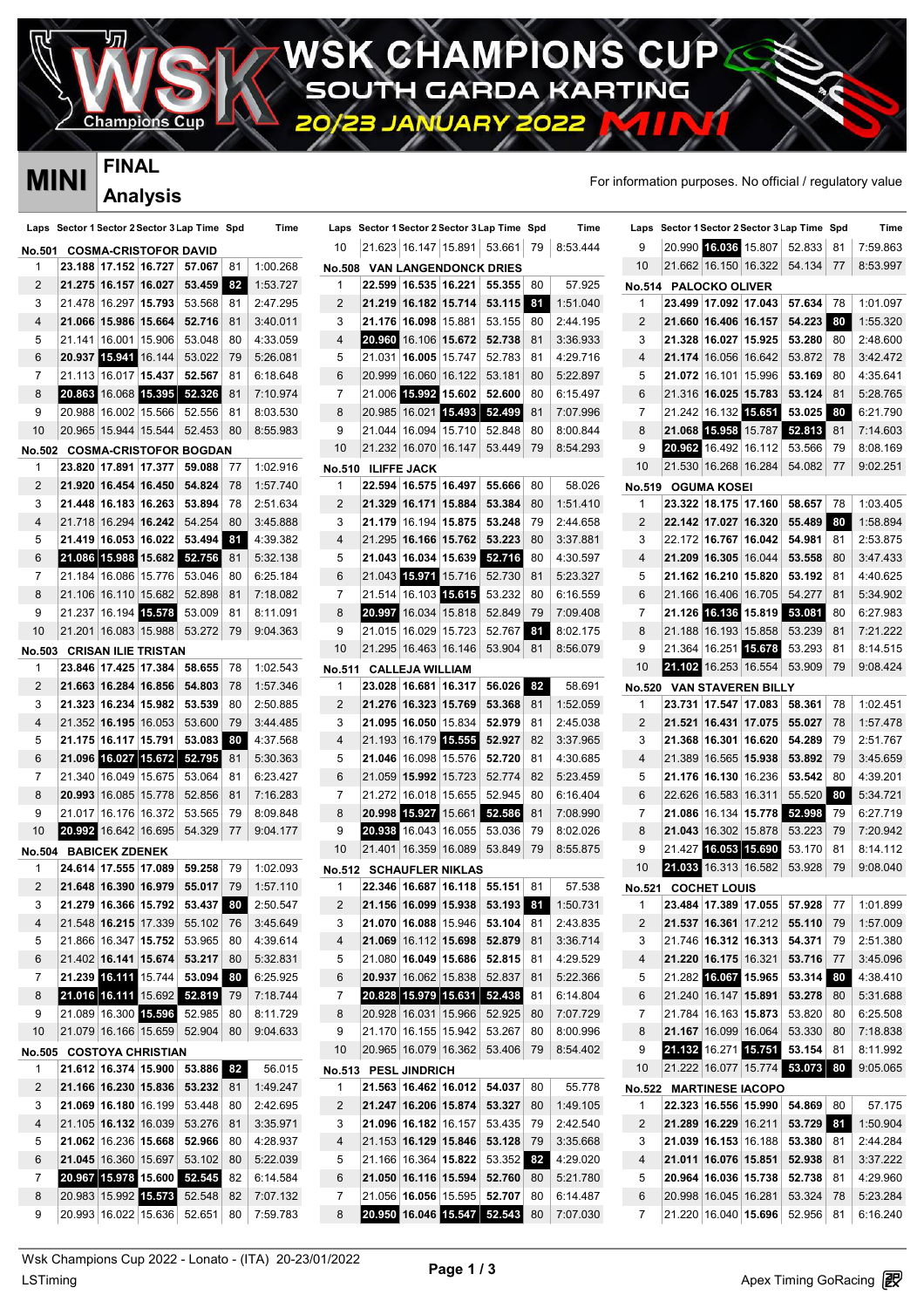**AMPIONS CU**  $ZH$ **GARDA RTING** KA ÷

JAR

Champion

### **FINAL Analysis**

P

|               | <b>MINI</b>                  | I IIVAL              |                            |                                              |     |                                         |    |                        |                      |                                |                                              |     |          |               |                       |                                |                                              |     | For information purposes. No official / regulatory value |
|---------------|------------------------------|----------------------|----------------------------|----------------------------------------------|-----|-----------------------------------------|----|------------------------|----------------------|--------------------------------|----------------------------------------------|-----|----------|---------------|-----------------------|--------------------------------|----------------------------------------------|-----|----------------------------------------------------------|
|               |                              |                      | <b>Analysis</b>            |                                              |     |                                         |    |                        |                      |                                |                                              |     |          |               |                       |                                |                                              |     |                                                          |
|               |                              |                      |                            | Laps Sector 1 Sector 2 Sector 3 Lap Time Spd |     | Time                                    |    |                        |                      |                                | Laps Sector 1 Sector 2 Sector 3 Lap Time Spd |     | Time     |               |                       |                                | Laps Sector 1 Sector 2 Sector 3 Lap Time Spd |     | Time                                                     |
|               | No.501 COSMA-CRISTOFOR DAVID |                      |                            |                                              |     |                                         | 10 |                        |                      |                                | 21.623 16.147 15.891 53.661                  | 79  | 8:53.444 | 9             |                       |                                | 20.990 16.036 15.807 52.833 81               |     | 7:59.863                                                 |
| 1             |                              |                      | 23.188 17.152 16.727       | 57.067                                       | 81  | 1:00.268                                |    |                        |                      |                                | <b>No.508 VAN LANGENDONCK DRIES</b>          |     |          | 10            |                       |                                | 21.662 16.150 16.322 54.134 77               |     | 8:53.997                                                 |
| 2             |                              | 21.275 16.157 16.027 |                            | 53.459 82                                    |     | 1:53.727                                | -1 |                        |                      | 22.599 16.535 16.221           | 55.355                                       | -80 | 57.925   |               | No.514 PALOCKO OLIVER |                                |                                              |     |                                                          |
| 3             |                              | 21.478 16.297 15.793 |                            | 53.568                                       | 81  | 2:47.295                                | 2  |                        |                      | 21.219 16.182 15.714           | 53.115 81                                    |     | 1:51.040 | 1             |                       | 23.499 17.092 17.043           | 57.634 78                                    |     | 1:01.097                                                 |
| 4             |                              | 21.066 15.986 15.664 |                            | 52.716                                       | 81  | 3:40.011                                | 3  |                        |                      | 21.176 16.098 15.881           | 53.155                                       | -80 | 2:44.195 | 2             |                       | 21.660 16.406 16.157           | 54.223 80                                    |     | 1:55.320                                                 |
| 5             |                              | 21.141 16.001 15.906 |                            | 53.048                                       | 80  | 4:33.059                                | 4  |                        |                      | 20.960 16.106 15.672           | 52.738                                       | 81  | 3:36.933 | 3             |                       | 21.328 16.027 15.925           | 53.280 80                                    |     | 2:48.600                                                 |
| 6             |                              | 20.937 15.941 16.144 |                            | 53.022                                       | 79  | 5:26.081                                | 5  |                        |                      | 21.031 16.005 15.747           | 52.783                                       | 81  | 4:29.716 | 4             |                       | 21.174 16.056 16.642           | 53.872                                       | -78 | 3:42.472                                                 |
| 7             |                              | 21.113 16.017 15.437 |                            | 52.567                                       | 81  | 6:18.648                                | 6  |                        |                      | 20.999 16.060 16.122           | 53.181                                       | 80  | 5:22.897 | 5             |                       | 21.072 16.101 15.996           | 53.169                                       | 80  | 4:35.641                                                 |
| 8             |                              | 20.863 16.068 15.395 |                            | 52.326                                       | 81  | 7:10.974                                | 7  |                        |                      | 21.006 15.992 15.602           | 52.600                                       | 80  | 6:15.497 | 6             |                       | 21.316 16.025 15.783           | 53.124                                       | -81 | 5:28.765                                                 |
| 9             |                              | 20.988 16.002 15.566 |                            | 52.556                                       | 81  | 8:03.530                                | 8  | 20.985 16.021          |                      | 15.493                         | 52.499                                       | 81  | 7:07.996 | 7             |                       | 21.242 16.132 15.651           | 53.025                                       | 80  | 6:21.790                                                 |
| 10            |                              | 20.965 15.944 15.544 |                            | 52.453                                       | 80  | 8:55.983                                | 9  |                        |                      | 21.044   16.094   15.710       | 52.848                                       | 80  | 8:00.844 | 8             | 21.068 15.958 15.787  |                                | 52.813                                       | 81  | 7:14.603                                                 |
| <b>No.502</b> |                              |                      |                            | <b>COSMA-CRISTOFOR BOGDAN</b>                |     |                                         | 10 |                        |                      | 21.232 16.070 16.147           | 53.449                                       | 79  | 8:54.293 | 9             |                       |                                | 20.962 16.492 16.112 53.566                  | 79  | 8:08.169                                                 |
| 1             |                              | 23.820 17.891 17.377 |                            | 59.088                                       | -77 | 1:02.916                                |    | No.510 ILIFFE JACK     |                      |                                |                                              |     |          | 10            |                       | 21.530 16.268 16.284           | 54.082 77                                    |     | 9:02.251                                                 |
| 2             |                              | 21.920 16.454 16.450 |                            | 54.824                                       | 78  | 1:57.740                                | 1  |                        |                      | 22.594 16.575 16.497           | 55.666                                       | 80  | 58.026   | <b>No.519</b> | <b>OGUMA KOSEI</b>    |                                |                                              |     |                                                          |
| 3             |                              |                      | 21.448 16.183 16.263       | 53.894                                       | 78  | 2:51.634                                | 2  |                        |                      | 21.329 16.171 15.884           | 53.384                                       | -80 | 1:51.410 | 1             |                       | 23.322 18.175 17.160           | 58.657 78                                    |     | 1:03.405                                                 |
| 4             |                              |                      | 21.718 16.294 16.242       | 54.254                                       | -80 | 3:45.888                                | 3  |                        |                      |                                | 21.179 16.194 15.875 53.248                  | 79  | 2:44.658 | 2             |                       | 22.142 17.027 16.320           | 55.489 80                                    |     | 1:58.894                                                 |
| 5             |                              |                      |                            | 21.419 16.053 16.022 53.494 81               |     | 4:39.382                                | 4  |                        |                      |                                | 21.295 16.166 15.762 53.223                  | -80 | 3:37.881 | 3             |                       | 22.172 16.767 16.042           | 54.981 81                                    |     | 2:53.875                                                 |
| 6             |                              |                      |                            | 21.086 15.988 15.682 52.756                  | -81 | 5:32.138                                | 5  |                        |                      |                                | 21.043 16.034 15.639 52.716                  | 80  | 4:30.597 | 4             |                       | 21.209 16.305 16.044           | 53.558                                       | -80 | 3:47.433                                                 |
| 7             |                              |                      | 21.184 16.086 15.776       | 53.046                                       | 80  | 6:25.184                                | 6  |                        |                      | 21.043 15.971 15.716           | 52.730                                       | 81  | 5:23.327 | 5             |                       | 21.162 16.210 15.820           | 53.192                                       | -81 | 4:40.625                                                 |
| 8             |                              |                      | 21.106 16.110 15.682       | 52.898                                       | -81 | 7:18.082                                | 7  |                        |                      | 21.514 16.103 15.615           | 53.232                                       | 80  | 6:16.559 | 6             |                       |                                | 21.166 16.406 16.705 54.277                  | -81 | 5:34.902                                                 |
| 9             |                              |                      | 21.237 16.194 15.578       | 53.009                                       | 81  | 8:11.091                                | 8  |                        |                      | 20.997 16.034 15.818           | 52.849                                       | 79  | 7:09.408 | 7             |                       |                                | 21.126 16.136 15.819 53.081                  | 80  | 6:27.983                                                 |
| 10            |                              |                      | 21.201   16.083   15.988   | 53.272                                       | -79 | 9:04.363                                | 9  |                        |                      | 21.015 16.029 15.723           | 52.767                                       | -81 | 8:02.175 | 8             |                       | 21.188 16.193 15.858           | 53.239                                       | -81 | 7:21.222                                                 |
| No.503        |                              |                      | <b>CRISAN ILIE TRISTAN</b> |                                              |     |                                         | 10 |                        |                      | 21.295 16.463 16.146           | 53.904 81                                    |     | 8:56.079 | 9             |                       | 21.364 16.251 15.678           | 53.293                                       | 81  | 8:14.515                                                 |
|               |                              | 23.846 17.425 17.384 |                            | 58.655                                       | 78  | 1:02.543                                |    | No.511 CALLEJA WILLIAM |                      |                                |                                              |     |          | 10            |                       |                                | 21.102 16.253 16.554 53.909                  | -79 | 9:08.424                                                 |
| 2             |                              | 21.663 16.284 16.856 |                            | 54.803                                       | 78  | 1:57.346                                | -1 |                        |                      | 23.028 16.681 16.317           | 56.026 32                                    |     | 58.691   | No.520        |                       | <b>VAN STAVEREN BILLY</b>      |                                              |     |                                                          |
| 3             |                              | 21.323 16.234 15.982 |                            | 53.539                                       | 80  | 2:50.885                                | 2  |                        |                      | 21.276 16.323 15.769           | 53.368                                       | -81 | 1:52.059 | 1             |                       |                                | 23.731 17.547 17.083 58.361                  | 78  | 1:02.451                                                 |
| 4             |                              |                      | 21.352 16.195 16.053       | 53.600                                       | 79  | 3:44.485                                | 3  |                        |                      | 21.095 16.050 15.834           | 52.979                                       | 81  | 2:45.038 | 2             |                       | 21.521 16.431 17.075           | 55.027                                       | 78  | 1:57.478                                                 |
| 5             |                              |                      | 21.175 16.117 15.791       | 53.083                                       | 80  | 4:37.568                                | 4  |                        |                      | 21.193 16.179 15.555           | 52.927                                       | 82  | 3:37.965 | 3             |                       | 21.368 16.301 16.620           | 54.289                                       | 79  | 2:51.767                                                 |
| 6             |                              | 21.096 16.027 15.672 |                            | 52.795                                       | -81 | 5:30.363                                | 5  |                        |                      | 21.046 16.098 15.576           | 52.720                                       | -81 | 4:30.685 | 4             |                       | 21.389 16.565 15.938           | 53.892                                       | 79  | 3:45.659                                                 |
| 7             |                              |                      | 21.340 16.049 15.675       | 53.064                                       | 81  | 6:23.427                                | 6  |                        |                      | 21.059 15.992 15.723           | 52.774                                       | 82  | 5:23.459 | 5             |                       | 21.176 16.130 16.236           | 53.542                                       | 80  | 4:39.201                                                 |
| 8             |                              | 20.993 16.085 15.778 |                            | 52.856                                       | -81 | 7:16.283                                | 7  |                        |                      |                                | 21.272 16.018 15.655 52.945                  | 80  | 6:16.404 | 6             |                       | 22.626 16.583 16.311           | 55.520                                       | 80  | 5:34.721                                                 |
| 9             |                              | 21.017 16.176 16.372 |                            | 53.565                                       | 79  | 8:09.848                                | 8  |                        | 20.998 15.927 15.661 |                                | 52.586                                       | 81  | 7:08.990 | 7             |                       | 21.086 16.134 15.778           | 52.998                                       | 79  | 6:27.719                                                 |
| 10            |                              |                      | 20.992 16.642 16.695       | 54.329                                       | 77  | 9:04.177                                | 9  |                        |                      | 20.938 16.043 16.055           | 53.036                                       | 79  | 8:02.026 | 8             |                       | 21.043 16.302 15.878           | 53.223                                       | -79 | 7:20.942                                                 |
|               | No.504 BABICEK ZDENEK        |                      |                            |                                              |     |                                         | 10 |                        |                      |                                | 21.401 16.359 16.089 53.849                  | 79  | 8:55.875 | 9             |                       | 21.427 16.053 15.690           | 53.170                                       | 81  | 8:14.112                                                 |
|               |                              |                      |                            |                                              |     | 24.614 17.555 17.089 59.258 79 1:02.093 |    |                        |                      | <b>No.512 SCHAUFLER NIKLAS</b> |                                              |     |          | 10            |                       |                                |                                              |     | 21.033 16.313 16.582 53.928 79 9:08.040                  |
| 2             |                              |                      |                            | 21.648 16.390 16.979 55.017 79               |     | 1:57.110                                | 1  |                        |                      |                                | 22.346 16.687 16.118 55.151 81               |     | 57.538   |               | No.521 COCHET LOUIS   |                                |                                              |     |                                                          |
| 3             |                              |                      |                            | 21.279 16.366 15.792 53.437 30               |     | 2:50.547                                | 2  |                        |                      |                                | 21.156 16.099 15.938 53.193 81               |     | 1:50.731 | 1             |                       |                                | 23.484 17.389 17.055 57.928 77               |     | 1:01.899                                                 |
| 4             |                              |                      |                            | 21.548 16.215 17.339 55.102 76               |     | 3:45.649                                | 3  |                        |                      |                                | 21.070 16.088 15.946 53.104 81               |     | 2:43.835 | 2             |                       |                                | 21.537 16.361 17.212 55.110 79               |     | 1:57.009                                                 |
| 5             |                              |                      |                            | 21.866 16.347 15.752 53.965 80               |     | 4:39.614                                | 4  |                        |                      |                                | 21.069 16.112 15.698 52.879 81               |     | 3:36.714 | 3             |                       |                                | 21.746 16.312 16.313 54.371 79               |     | 2:51.380                                                 |
| 6             |                              |                      | 21.402 16.141 15.674       | $53.217$ 80                                  |     | 5:32.831                                | 5  |                        |                      |                                | 21.080 16.049 15.686 52.815 81               |     | 4:29.529 | 4             |                       | 21.220 16.175 16.321           | 53.716 77                                    |     | 3:45.096                                                 |
| 7             |                              |                      |                            | 21.239 16.111 15.744 53.094 80               |     | 6:25.925                                | 6  |                        |                      |                                | 20.937 16.062 15.838 52.837                  | -81 | 5:22.366 | 5             |                       |                                | 21.282 16.067 15.965 53.314 80               |     | 4:38.410                                                 |
| 8             |                              |                      |                            | 21.016 16.111 15.692 52.819 79               |     | 7:18.744                                | 7  |                        |                      |                                | 20.828 15.979 15.631 52.438                  | 81  | 6:14.804 | 6             |                       |                                | 21.240 16.147 15.891 53.278 80               |     | 5:31.688                                                 |
| 9             |                              |                      |                            | 21.089 16.300 15.596 52.985 80               |     | 8:11.729                                | 8  |                        |                      |                                | 20.928 16.031 15.966 52.925                  | -80 | 7:07.729 | 7             |                       |                                | 21.784 16.163 15.873 53.820 80               |     | 6:25.508                                                 |
| 10            |                              |                      |                            | 21.079 16.166 15.659 52.904 80               |     | 9:04.633                                | 9  |                        |                      |                                | 21.170 16.155 15.942 53.267                  | 80  | 8:00.996 | 8             |                       |                                | 21.167 16.099 16.064 53.330 80               |     | 7:18.838                                                 |
|               | No.505 COSTOYA CHRISTIAN     |                      |                            |                                              |     |                                         | 10 |                        |                      |                                | 20.965 16.079 16.362 53.406 79               |     | 8:54.402 | 9             |                       | 21.132 16.271 15.751           | $53.154$ 81                                  |     | 8:11.992                                                 |
|               |                              |                      |                            | 21.612 16.374 15.900 53.886 82               |     | 56.015                                  |    | No.513 PESL JINDRICH   |                      |                                |                                              |     |          | 10            |                       |                                | 21.222 16.077 15.774 53.073 80               |     | 9:05.065                                                 |
| 2             |                              |                      |                            | 21.166 16.230 15.836 53.232 81               |     | 1:49.247                                | -1 |                        |                      |                                | 21.563 16.462 16.012 54.037 80               |     | 55.778   |               |                       | <b>No.522 MARTINESE IACOPO</b> |                                              |     |                                                          |
| 3             |                              |                      | 21.069 16.180 16.199       | 53.448                                       | 80  | 2:42.695                                | 2  |                        |                      |                                | 21.247 16.206 15.874 53.327                  | 80  | 1:49.105 | 1             |                       |                                | 22.323 16.556 15.990 54.869 80               |     | 57.175                                                   |
| 4             |                              |                      |                            | 21.105 <b>16.132</b> 16.039 53.276 81        |     | 3:35.971                                | 3  |                        |                      |                                | 21.096 16.182 16.157 53.435 79               |     | 2:42.540 | 2             |                       | 21.289 16.229 16.211           | 53.729 81                                    |     | 1:50.904                                                 |
| 5             |                              |                      | 21.062 16.236 15.668       | 52.966 80                                    |     | 4:28.937                                | 4  |                        |                      | 21.153 16.129 15.846           | 53.128 79                                    |     | 3:35.668 | 3             |                       |                                | 21.039 16.153 16.188 53.380 81               |     | 2:44.284                                                 |
| 6             |                              |                      |                            | 21.045 16.360 15.697 53.102 80               |     | 5:22.039                                | 5  |                        |                      |                                | 21.166 16.364 15.822 53.352 82               |     | 4:29.020 | 4             |                       | 21.011 16.076 15.851           | 52.938 81                                    |     | 3:37.222                                                 |
| 7             |                              |                      |                            | 20.967 15.978 15.600 52.545                  | 82  | 6:14.584                                | 6  |                        |                      |                                | 21.050 16.116 15.594 52.760 80               |     | 5:21.780 | 5             |                       |                                | 20.964 16.036 15.738 52.738 81               |     | 4:29.960                                                 |
| 8             |                              |                      |                            | 20.983 15.992 15.573 52.548                  | 82  | 7:07.132                                | 7  |                        |                      |                                | 21.056 16.056 15.595 52.707                  | 80  | 6:14.487 | 6             |                       | 20.998 16.045 16.281           | 53.324 78                                    |     | 5:23.284                                                 |
| 9             |                              |                      |                            | 20.993 16.022 15.636 52.651                  | 80  | 7:59.783                                | 8  |                        |                      |                                | 20.950 16.046 15.547 52.543                  | 80  | 7:07.030 | 7             |                       |                                | 21.220 16.040 15.696 52.956 81               |     | 6:16.240                                                 |

 $\frac{1}{\sqrt{2}}$ WSK Champions Cup 2022 - Lonato - (ITA) 20-23/01/2022<br>LSTiming Apex Timing GoRacing **P** Wsk Champions Cup 2022 - Lonato - (ITA) 20-23/01/2022 **Page 1 / 3**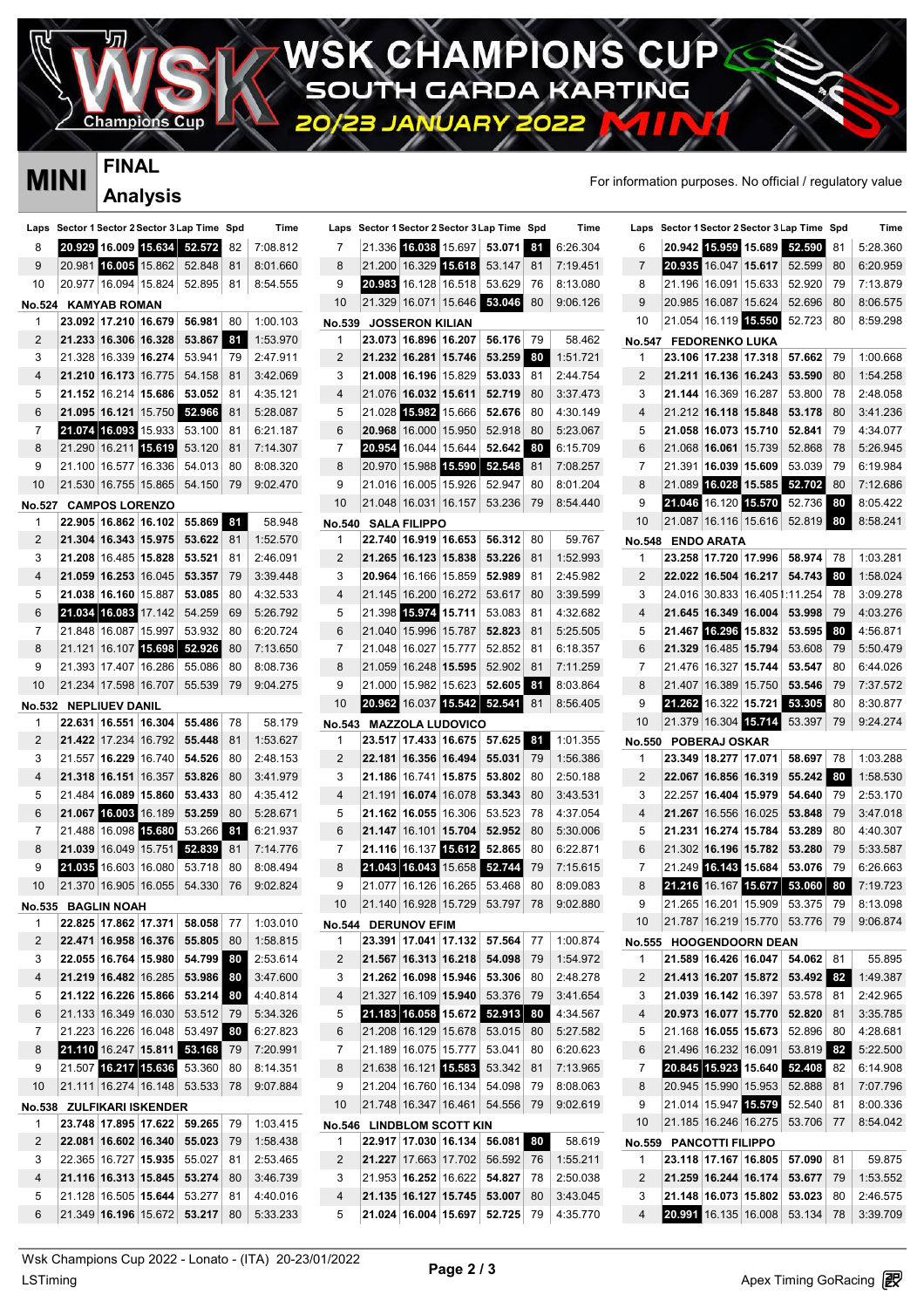**CHAMPIONS CU** H GARDA KARTING

**JAR** 

# **FINAL**

Champion

 $\mathbf P$ 

| MINI          |        | I IIVAL               |                           |                                         |     |                                         |                     |                           |                        |                         |                                              |      |          | For information purposes. No official / regulatory value |                         |                         |                                 |                                         |      |                                         |
|---------------|--------|-----------------------|---------------------------|-----------------------------------------|-----|-----------------------------------------|---------------------|---------------------------|------------------------|-------------------------|----------------------------------------------|------|----------|----------------------------------------------------------|-------------------------|-------------------------|---------------------------------|-----------------------------------------|------|-----------------------------------------|
|               |        |                       | <b>Analysis</b>           |                                         |     |                                         |                     |                           |                        |                         |                                              |      |          |                                                          |                         |                         |                                 |                                         |      |                                         |
| Laps          |        |                       |                           | Sector 1 Sector 2 Sector 3 Lap Time Spd |     | Time                                    |                     |                           |                        |                         | Laps Sector 1 Sector 2 Sector 3 Lap Time Spd |      | Time     | Laps                                                     |                         |                         |                                 | Sector 1 Sector 2 Sector 3 Lap Time Spd |      | Time                                    |
| 8             |        |                       |                           | 20.929 16.009 15.634 52.572             | 82  | 7:08.812                                | 7                   |                           |                        |                         | 21.336 16.038 15.697 53.071                  | 81   | 6:26.304 | 6                                                        | 20.942                  |                         |                                 | 15.959 15.689 52.590                    | 81   | 5:28.360                                |
| 9             | 20.981 |                       |                           | 16.005 15.862 52.848                    | 81  | 8:01.660                                | 8                   |                           |                        | 21.200 16.329 15.618    | 53.147                                       | 81   | 7:19.451 | 7                                                        |                         |                         |                                 | 20.935 16.047 15.617 52.599             | 80   | 6:20.959                                |
| 10            |        |                       |                           | 20.977 16.094 15.824 52.895             | -81 | 8:54.555                                | g                   | 20.983                    |                        | 16.128 16.518           | 53.629                                       | 76   | 8:13.080 | 8                                                        |                         |                         |                                 | 21.196 16.091 15.633 52.920             | -79  | 7:13.879                                |
| <b>No.524</b> |        | <b>KAMYAB ROMAN</b>   |                           |                                         |     |                                         | 10                  |                           |                        |                         | 21.329 16.071 15.646 58.046                  | 80   | 9:06.126 | g                                                        |                         |                         | 20.985   16.087   15.624        | 52.696                                  | 80   | 8:06.575                                |
| -1            |        |                       | 23.092 17.210 16.679      | 56.981                                  | 80  | 1:00.103                                | No.539              |                           | <b>JOSSERON KILIAN</b> |                         |                                              |      |          | 10                                                       |                         |                         | 21.054 16.119 15.550            | 52.723                                  | 80   | 8:59.298                                |
| 2             |        | 21.233 16.306 16.328  |                           | 53.867                                  | 81  | 1:53.970                                | -1                  |                           | 23.073 16.896 16.207   |                         | 56.176                                       | - 79 | 58.462   | <b>No.547</b>                                            |                         | <b>FEDORENKO LUKA</b>   |                                 |                                         |      |                                         |
| 3             |        | 21.328 16.339 16.274  |                           | 53.941                                  | 79  | 2:47.911                                | 2                   |                           | 21.232 16.281 15.746   |                         | 53.259                                       | 80   | 1:51.721 | -1                                                       |                         |                         | 23.106   17.238   17.318        | 57.662                                  | 79   | 1:00.668                                |
| 4             |        | 21.210 16.173 16.775  |                           | 54.158                                  | 81  | 3:42.069                                | 3                   |                           | 21.008 16.196 15.829   |                         | 53.033                                       | 81   | 2:44.754 | 2                                                        |                         |                         | 21.211   16.136   16.243        | 53.590                                  | 80   | 1:54.258                                |
| 5             |        |                       | 21.152 16.214 15.686      | 53.052                                  | 81  | 4:35.121                                | $\overline{4}$      |                           | 21.076 16.032 15.611   |                         | 52.719                                       | 80   | 3:37.473 | 3                                                        |                         |                         | 21.144 16.369 16.287            | 53.800                                  | 78   | 2:48.058                                |
| 6             |        |                       | 21.095 16.121 15.750      | 52.966                                  | 81  | 5:28.087                                | 5                   |                           | 21.028 15.982 15.666   |                         | 52.676                                       | 80   | 4:30.149 | $\boldsymbol{4}$                                         |                         |                         | 21.212 16.118 15.848            | 53.178                                  | 80   | 3:41.236                                |
| 7             |        |                       | 21.074 16.093 15.933      | 53.100                                  | 81  | 6:21.187                                | 6                   |                           | 20.968 16.000 15.950   |                         | 52.918                                       | 80   | 5:23.067 | 5                                                        |                         |                         | 21.058 16.073 15.710            | 52.841                                  | 79   | 4:34.077                                |
| 8             |        |                       | 21.290 16.211 15.619      | 53.120                                  | 81  | 7:14.307                                | 7                   | 20.954                    |                        | 16.044 15.644           | 52.642                                       | 80   | 6:15.709 | 6                                                        |                         |                         | 21.068 16.061 15.739            | 52.868                                  | -78  | 5:26.945                                |
| 9             |        | 21.100 16.577 16.336  |                           | 54.013                                  | 80  | 8:08.320                                | 8                   |                           |                        | 20.970 15.988 15.590    | 52.548                                       | 81   | 7:08.257 | 7                                                        |                         |                         |                                 | 21.391 <b>16.039 15.609</b> 53.039      | 79   | 6:19.984                                |
| 10            |        |                       | 21.530 16.755 15.865      | 54.150                                  | 79  | 9:02.470                                | 9                   |                           | 21.016 16.005 15.926   |                         | 52.947                                       | 80   | 8:01.204 | 8                                                        |                         |                         |                                 | 21.089 16.028 15.585 52.702             | 80   | 7:12.686                                |
| <b>No.527</b> |        | <b>CAMPOS LORENZO</b> |                           |                                         |     |                                         | 10                  |                           |                        | 21.048 16.031 16.157    | 53.236                                       | 79   | 8:54.440 | 9                                                        |                         |                         | 21.046 16.120 15.570            | 52.736                                  | 80   | 8:05.422                                |
| -1            |        |                       | 22.905 16.862 16.102      | 55.869 81                               |     | 58.948                                  |                     |                           |                        |                         |                                              |      |          | 10                                                       |                         |                         |                                 | 21.087 16.116 15.616 52.819             | 80   | 8:58.241                                |
| 2             |        | 21.304 16.343 15.975  |                           | 53.622                                  | 81  | 1:52.570                                | <b>No.540</b><br>-1 |                           | <b>SALA FILIPPO</b>    | 22.740 16.919 16.653    | 56.312                                       | 80   | 59.767   | <b>No.548</b>                                            |                         | <b>ENDO ARATA</b>       |                                 |                                         |      |                                         |
| 3             |        | 21.208 16.485 15.828  |                           | 53.521                                  | 81  | 2:46.091                                | 2                   |                           | 21.265 16.123 15.838   |                         | 53.226                                       | 81   | 1:52.993 | -1                                                       |                         |                         | 23.258 17.720 17.996            | 58.974 78                               |      | 1:03.281                                |
| 4             |        | 21.059 16.253 16.045  |                           | 53.357                                  | 79  | 3:39.448                                | 3                   |                           | 20.964 16.166 15.859   |                         | 52.989                                       | 81   | 2:45.982 | 2                                                        |                         |                         | 22.022 16.504 16.217            | 54.743 80                               |      | 1:58.024                                |
| 5             |        | 21.038 16.160 15.887  |                           | 53.085                                  | 80  | 4:32.533                                | 4                   |                           | 21.145 16.200 16.272   |                         | 53.617                                       | 80   | 3:39.599 | 3                                                        |                         |                         |                                 | 24.016 30.833 16.405 1:11.254 78        |      | 3:09.278                                |
| 6             |        | 21.034 16.083 17.142  |                           | 54.259                                  | 69  | 5:26.792                                | 5                   |                           | 21.398 15.974 15.711   |                         | 53.083                                       | 81   | 4:32.682 | 4                                                        |                         |                         | 21.645 16.349 16.004            | 53.998 79                               |      | 4:03.276                                |
| 7             |        | 21.848 16.087 15.997  |                           | 53.932                                  | 80  | 6:20.724                                | 6                   |                           | 21.040 15.996 15.787   |                         | 52.823                                       | 81   | 5:25.505 | 5                                                        | 21.467                  |                         | 16.296 15.832                   | 53.595                                  | 80   | 4:56.871                                |
| 8             |        |                       | 21.121 16.107 15.698      | 52.926                                  | 80  |                                         | 7                   |                           | 21.048 16.027 15.777   |                         | 52.852                                       | 81   | 6:18.357 | 6                                                        |                         |                         | 21.329 16.485 15.794            | 53.608                                  |      | 5:50.479                                |
| 9             |        |                       |                           |                                         |     | 7:13.650                                |                     |                           |                        |                         |                                              |      |          | 7                                                        |                         |                         |                                 |                                         | - 79 |                                         |
|               |        |                       | 21.393 17.407 16.286      | 55.086                                  | 80  | 8:08.736                                | 8                   |                           | 21.059 16.248 15.595   |                         | 52.902                                       | 81   | 7:11.259 |                                                          |                         |                         | 21.476   16.327   <b>15.744</b> | 53.547                                  | -80  | 6:44.026                                |
| 10            |        |                       | 21.234 17.598 16.707      | 55.539                                  | 79  | 9:04.275                                | 9                   |                           | 21.000 15.982 15.623   |                         | 52.605                                       | 81   | 8:03.864 | 8                                                        |                         |                         |                                 | 21.407   16.389   15.750   53.546       | -79  | 7:37.572                                |
| <b>No.532</b> |        | <b>NEPLIUEV DANIL</b> |                           |                                         |     |                                         | 10                  |                           |                        | 20.962 16.037 15.542    | 52.541                                       | 81   | 8:56.405 | g                                                        |                         |                         | 21.262 16.322 15.721            | 53.305                                  | 80   | 8:30.877                                |
| -1            |        |                       | 22.631 16.551 16.304      | 55.486                                  | 78  | 58.179                                  | No.543              |                           |                        | <b>MAZZOLA LUDOVICO</b> |                                              |      |          | 10                                                       |                         |                         | 21.379 16.304 15.714            | 53.397                                  | 79   | 9:24.274                                |
| 2             |        | 21.422 17.234 16.792  |                           | 55.448                                  | 81  | 1:53.627                                | -1                  |                           |                        |                         | 23.517   17.433   16.675     57.625          | 81   | 1:01.355 | <b>No.550</b>                                            |                         | <b>POBERAJ OSKAR</b>    |                                 |                                         |      |                                         |
| 3             |        | 21.557 16.229 16.740  |                           | 54.526                                  | 80  | 2:48.153                                | 2                   |                           | 22.181 16.356 16.494   |                         | 55.031                                       | 79   | 1:56.386 | -1                                                       |                         |                         | 23.349   18.277   17.071        | 58.697 78                               |      | 1:03.288                                |
| 4             |        | 21.318 16.151 16.357  |                           | 53.826                                  | 80  | 3:41.979                                | 3                   |                           | 21.186 16.741 15.875   |                         | 53.802                                       | 80   | 2:50.188 | 2                                                        |                         |                         | 22.067   16.856   16.319        | 55.242                                  | 80   | 1:58.530                                |
| 5             |        | 21.484 16.089 15.860  |                           | 53.433                                  | 80  | 4:35.412                                | 4                   |                           | 21.191 16.074 16.078   |                         | 53.343                                       | 80   | 3:43.531 | 3                                                        |                         |                         | 22.257   16.404   15.979        | 54.640                                  | -79  | 2:53.170                                |
| 6             |        | 21.067 16.003 16.189  |                           | 53.259                                  | 80  | 5:28.671                                | 5                   |                           | 21.162 16.055 16.306   |                         | 53.523                                       | 78   | 4:37.054 | 4                                                        |                         |                         | 21.267 16.556 16.025            | 53.848                                  | -79  | 3:47.018                                |
| 7             |        |                       | 21.488 16.098 15.680      | 53.266                                  | 81  | 6:21.937                                | 6                   |                           | 21.147 16.101 15.704   |                         | 52.952                                       | 80   | 5:30.006 | 5                                                        |                         |                         | 21.231   16.274   15.784        | 53.289                                  | 80   | 4:40.307                                |
| 8             |        |                       |                           | 21.039 16.049 15.751 52.839             | 81  | 7:14.776                                | 7                   |                           |                        |                         | 21.116 16.137 15.612 52.865                  | 80   | 6:22.871 | 6                                                        |                         |                         |                                 | 21.302 16.196 15.782 53.280             | 79   | 5:33.587                                |
|               |        |                       |                           | 21.035 16.603 16.080 53.718 80          |     | 8:08.494                                | 8                   |                           |                        |                         | 21.043 16.043 15.658 52.744                  | 79   | 7:15.615 |                                                          |                         |                         |                                 | 21.249 16.143 15.684 53.076 79          |      | 6:26.663                                |
| 10            |        |                       |                           |                                         |     | 21.370 16.905 16.055 54.330 76 9:02.824 | 9                   |                           |                        |                         | 21.077   16.126   16.265   53.468            | 80   | 8:09.083 | 8                                                        |                         |                         |                                 | 21.216 16.167 15.677 53.060 80          |      | 7:19.723                                |
|               |        | No.535 BAGLIN NOAH    |                           |                                         |     |                                         | 10                  |                           |                        |                         | 21.140 16.928 15.729 53.797                  | 78   | 9:02.880 | 9                                                        |                         |                         |                                 | 21.265 16.201 15.909 53.375 79          |      | 8:13.098                                |
| 1             |        |                       |                           | 22.825 17.862 17.371 58.058 77          |     | 1:03.010                                |                     | No.544 DERUNOV EFIM       |                        |                         |                                              |      |          | 10                                                       |                         |                         |                                 | 21.787 16.219 15.770 53.776 79          |      | 9:06.874                                |
| 2             |        |                       |                           | 22.471 16.958 16.376 55.805 80          |     | 1:58.815                                | -1                  |                           |                        |                         | 23.391 17.041 17.132 57.564                  | 77   | 1:00.874 |                                                          | No.555 HOOGENDOORN DEAN |                         |                                 |                                         |      |                                         |
| 3             |        |                       |                           | 22.055 16.764 15.980 54.799 80          |     | 2:53.614                                | 2                   |                           |                        |                         | 21.567 16.313 16.218 54.098                  | 79   | 1:54.972 | 1                                                        |                         |                         |                                 | 21.589 16.426 16.047 54.062 81          |      | 55.895                                  |
| 4             |        |                       |                           | 21.219 16.482 16.285 53.986 30          |     | 3:47.600                                | 3                   |                           |                        |                         | 21.262 16.098 15.946 53.306                  | 80   | 2:48.278 | 2                                                        |                         |                         |                                 |                                         |      | 21.413 16.207 15.872 53.492 32 1:49.387 |
| 5             |        |                       |                           | 21.122 16.226 15.866 53.214 80          |     | 4:40.814                                | 4                   |                           |                        |                         | 21.327 16.109 15.940 53.376 79               |      | 3:41.654 | 3                                                        |                         |                         |                                 | 21.039 16.142 16.397 53.578 81          |      | 2:42.965                                |
| 6             |        |                       |                           | 21.133 16.349 16.030 53.512 79          |     | 5:34.326                                | 5                   |                           |                        |                         | 21.183 16.058 15.672 52.913                  | 80   | 4:34.567 | 4                                                        |                         |                         |                                 | 20.973 16.077 15.770 52.820 81          |      | 3:35.785                                |
| 7             |        |                       |                           | 21.223 16.226 16.048 53.497 80          |     | 6:27.823                                | 6                   |                           |                        |                         | 21.208 16.129 15.678 53.015 80               |      | 5:27.582 | 5                                                        |                         |                         |                                 | 21.168 <b>16.055 15.673</b> 52.896 80   |      | 4:28.681                                |
| 8             |        |                       |                           | 21.110 16.247 15.811 53.168 79          |     | 7:20.991                                | 7                   |                           |                        | 21.189 16.075 15.777    | 53.041                                       | 80   | 6:20.623 | 6                                                        |                         |                         |                                 | 21.496 16.232 16.091 53.819             | 82   | 5:22.500                                |
| 9             |        |                       |                           | 21.507 16.217 15.636 53.360             | 80  | 8:14.351                                | 8                   |                           |                        | 21.638 16.121 15.583    | 53.342                                       | 81   | 7:13.965 | 7                                                        |                         |                         |                                 | 20.845 15.923 15.640 52.408             | 82   | 6:14.908                                |
| 10            |        |                       |                           | 21.111 16.274 16.148 53.533 78          |     | 9:07.884                                | 9                   |                           |                        |                         | 21.204 16.760 16.134 54.098                  | 79   | 8:08.063 | 8                                                        |                         |                         |                                 | 20.945 15.990 15.953 52.888 81          |      | 7:07.796                                |
|               |        |                       | No.538 ZULFIKARI ISKENDER |                                         |     |                                         | 10                  |                           |                        |                         | 21.748 16.347 16.461 54.556 79               |      | 9:02.619 | 9                                                        |                         |                         |                                 | 21.014 15.947 15.579 52.540             | -81  | 8:00.336                                |
| 1             |        |                       |                           | 23.748 17.895 17.622 59.265             | 79  | 1:03.415                                |                     | No.546 LINDBLOM SCOTT KIN |                        |                         |                                              |      |          | 10                                                       |                         |                         |                                 | 21.185 16.246 16.275 53.706 77          |      | 8:54.042                                |
| 2             |        |                       |                           | 22.081 16.602 16.340 55.023             | 79  | 1:58.438                                | -1                  |                           |                        |                         | 22.917 17.030 16.134 56.081 80               |      | 58.619   | <b>No.559</b>                                            |                         | <b>PANCOTTI FILIPPO</b> |                                 |                                         |      |                                         |
| 3             |        |                       |                           | 22.365 16.727 15.935 55.027             | 81  | 2:53.465                                |                     |                           |                        |                         | 21.227 17.663 17.702 56.592 76               |      | 1:55.211 | 1                                                        |                         |                         |                                 | 23.118 17.167 16.805 57.090 81          |      | 59.875                                  |
| 4             |        |                       | 21.116 16.313 15.845      | 53.274                                  | 80  | 3:46.739                                | 3                   |                           |                        |                         | 21.953 16.252 16.622 54.827                  | 78   | 2:50.038 | 2                                                        |                         |                         |                                 | 21.259 16.244 16.174 53.677 79          |      | 1:53.552                                |
| 5             |        |                       | 21.128 16.505 15.644      | 53.277                                  | 81  | 4:40.016                                | 4                   |                           |                        | 21.135 16.127 15.745    | 53.007                                       | 80   | 3:43.045 | 3                                                        |                         |                         |                                 | 21.148 16.073 15.802 53.023             | 80   | 2:46.575                                |
| 6             |        |                       |                           | 21.349 16.196 15.672 53.217 80          |     | 5:33.233                                | 5                   |                           |                        |                         | 21.024 16.004 15.697 52.725                  | 79   | 4:35.770 | 4                                                        |                         |                         |                                 | 20.991 16.135 16.008 53.134 78          |      | 3:39.709                                |
|               |        |                       |                           |                                         |     |                                         |                     |                           |                        |                         |                                              |      |          |                                                          |                         |                         |                                 |                                         |      |                                         |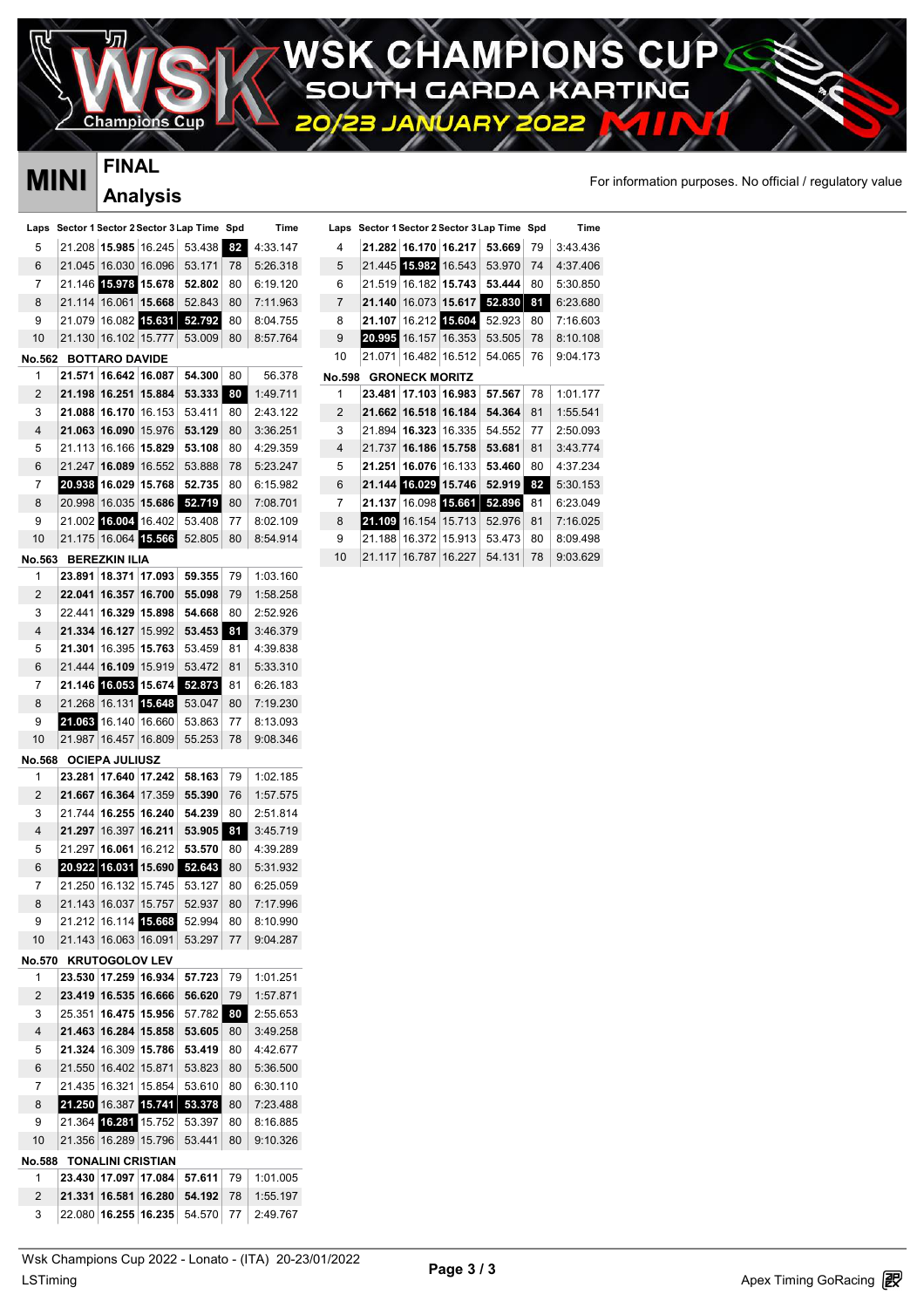**AMPIONS CU**  $\mathcal{G}$ H **GARDA RTING** KA ÷

Δ

### Champions

### **FINAL Analysis**

## **MINI** FINAL FINAL **FINAL**

P

| MINI           |        | ……                       |                      |                                     |     |          |       |
|----------------|--------|--------------------------|----------------------|-------------------------------------|-----|----------|-------|
|                |        |                          | <b>Analysis</b>      |                                     |     |          |       |
| Laps           |        |                          |                      | Sector 1 Sector 2 Sector 3 Lap Time | Spd | Time     | Laps  |
| 5              | 21.208 | 15.985                   | 16.245               | 53.438                              | 82  | 4:33.147 | 4     |
| 6              | 21.045 | 16.030                   | 16.096               | 53.171                              | 78  | 5:26.318 | 5     |
| 7              |        | 21.146 15.978            | 15.678               | 52.802                              | 80  | 6:19.120 | 6     |
| 8              | 21.114 | 16.061                   | 15.668               | 52.843                              | 80  | 7:11.963 | 7     |
| 9              | 21.079 | 16.082                   | 15.631               | 52.792                              | 80  | 8:04.755 | 8     |
| 10             | 21.130 | 16.102                   | 15.777               | 53.009                              | 80  | 8:57.764 | 9     |
| No.562         |        | <b>BOTTARO DAVIDE</b>    |                      |                                     |     |          | 10    |
| 1              | 21.571 | 16.642                   | 16.087               | 54.300                              | 80  | 56.378   | No.59 |
| 2              | 21.198 | 16.251                   | 15.884               | 53.333                              | 80  | 1:49.711 | 1     |
| 3              | 21.088 | 16.170                   | 16.153               | 53.411                              | 80  | 2:43.122 | 2     |
| 4              | 21.063 | 16.090                   | 15.976               | 53.129                              | 80  | 3:36.251 | 3     |
| 5              | 21.113 | 16.166                   | 15.829               | 53.108                              | 80  | 4:29.359 | 4     |
| 6              | 21.247 | 16.089                   | 16.552               | 53.888                              | 78  | 5:23.247 | 5     |
| 7              |        | 20.938 16.029            | 15.768               | 52.735                              | 80  | 6:15.982 | 6     |
| 8              | 20.998 | 16.035                   | 15.686               | 52.719                              | 80  | 7:08.701 | 7     |
| 9              |        | 21.002 16.004            | 16.402               | 53.408                              | 77  | 8:02.109 | 8     |
| 10             |        | 21.175 16.064 15.566     |                      | 52.805                              | 80  | 8:54.914 | 9     |
| No.563         |        | <b>BEREZKIN ILIA</b>     |                      |                                     |     |          | 10    |
| 1              | 23.891 | 18.371                   | 17.093               | 59.355                              | 79  | 1:03.160 |       |
| $\overline{c}$ | 22.041 | 16.357                   | 16.700               | 55.098                              | 79  | 1:58.258 |       |
| 3              | 22.441 | 16.329                   | 15.898               | 54.668                              | 80  | 2:52.926 |       |
| 4              | 21.334 | 16.127                   | 15.992               | 53.453                              | 81  | 3:46.379 |       |
| 5              | 21.301 | 16.395                   | 15.763               | 53.459                              | 81  | 4:39.838 |       |
| 6              | 21.444 | 16.109                   | 15.919               | 53.472                              | 81  | 5:33.310 |       |
| 7              | 21.146 |                          | 16.053 15.674        | 52.873                              | 81  | 6:26.183 |       |
| 8              | 21.268 | 16.131                   | 15.648               | 53.047                              | 80  | 7:19.230 |       |
| 9              | 21.063 | 16.140                   | 16.660               | 53.863                              | 77  | 8:13.093 |       |
| 10             | 21.987 | 16.457                   | 16.809               | 55.253                              | 78  | 9:08.346 |       |
| No.568         |        | <b>OCIEPA JULIUSZ</b>    |                      |                                     |     |          |       |
| 1              | 23.281 | 17.640                   | 17.242               | 58.163                              | 79  | 1:02.185 |       |
| 2              | 21.667 | 16.364                   | 17.359               | 55.390                              | 76  | 1:57.575 |       |
| 3              | 21.744 | 16.255                   | 16.240               | 54.239                              | 80  | 2:51.814 |       |
| 4              | 21.297 | 16.397                   | 16.211               | 53.905                              | 81  | 3:45.719 |       |
| 5              | 21.297 | 16.061                   | 16.212               | 53.570                              | 80  | 4:39.289 |       |
| 6              |        | 20.922 16.031 15.690     |                      | 52.643                              | 80  | 5:31.932 |       |
| 7              |        | 21.250 16.132 15.745     |                      | 53.127                              | 80  | 6:25.059 |       |
| 8              |        | 21.143 16.037 15.757     |                      | 52.937                              | 80  | 7:17.996 |       |
| 9              |        |                          | 21.212 16.114 15.668 | 52.994                              | 80  | 8:10.990 |       |
| 10             |        | 21.143 16.063 16.091     |                      | 53.297                              | 77  | 9:04.287 |       |
| No.570         |        | <b>KRUTOGOLOV LEV</b>    |                      |                                     |     |          |       |
| 1              |        | 23.530 17.259 16.934     |                      | 57.723                              | 79  | 1:01.251 |       |
| 2              |        | 23.419 16.535            | 16.666               | 56.620                              | 79  | 1:57.871 |       |
| 3              | 25.351 | 16.475                   | 15.956               | 57.782                              | 80  | 2:55.653 |       |
| 4              |        | 21.463 16.284            | 15.858               | 53.605                              | 80  | 3:49.258 |       |
| 5              |        | 21.324 16.309            | 15.786               | 53.419                              | 80  | 4:42.677 |       |
| 6              |        | 21.550 16.402            | 15.871               | 53.823                              | 80  | 5:36.500 |       |
| 7              |        | 21.435 16.321            | 15.854               | 53.610                              | 80  | 6:30.110 |       |
| 8              |        | 21.250 16.387 15.741     |                      | 53.378                              | 80  | 7:23.488 |       |
| 9              |        | 21.364 16.281 15.752     |                      | 53.397                              | 80  | 8:16.885 |       |
| 10             |        | 21.356 16.289 15.796     |                      | 53.441                              | 80  | 9:10.326 |       |
| No.588         |        | <b>TONALINI CRISTIAN</b> |                      |                                     |     |          |       |
| 1              |        | 23.430 17.097            | 17.084               | 57.611                              | 79  | 1:01.005 |       |
| 2              |        | 21.331 16.581            | 16.280               | 54.192                              | 78  | 1:55.197 |       |
| 3              |        | 22.080 16.255            | 16.235               | 54.570                              | 77  | 2:49.767 |       |

|                |               |                       |               |                                         |    |          | For informa |
|----------------|---------------|-----------------------|---------------|-----------------------------------------|----|----------|-------------|
| Laps           |               |                       |               | Sector 1 Sector 2 Sector 3 Lap Time Spd |    | Time     |             |
| 4              |               | 21.282 16.170 16.217  |               | 53.669                                  | 79 | 3:43.436 |             |
| 5              |               | 21.445 15.982 16.543  |               | 53.970                                  | 74 | 4:37.406 |             |
| 6              | 21.519        | 16.182                | 15.743        | 53.444                                  | 80 | 5:30.850 |             |
| $\overline{7}$ | 21.140        | 16.073                | 15.617        | 52,830                                  | 81 | 6:23.680 |             |
| 8              | 21.107        |                       | 16.212 15.604 | 52.923                                  | 80 | 7:16.603 |             |
| 9              | 20.995 16.157 |                       | 16.353        | 53.505                                  | 78 | 8:10.108 |             |
| 10             | 21.071        |                       | 16.482 16.512 | 54.065                                  | 76 | 9:04.173 |             |
| No.598         |               | <b>GRONECK MORITZ</b> |               |                                         |    |          |             |
| 1              | 23.481        | 17.103                | 16.983        | 57.567                                  | 78 | 1:01.177 |             |
| 2              | 21.662        | 16.518                | 16.184        | 54.364                                  | 81 | 1:55.541 |             |
| 3              | 21.894        | 16.323                | 16.335        | 54.552                                  | 77 | 2:50.093 |             |
| $\overline{4}$ | 21.737        | 16.186                | 15.758        | 53.681                                  | 81 | 3:43.774 |             |
| 5              | 21.251        | 16.076                | 16.133        | 53.460                                  | 80 | 4:37.234 |             |
| 6              |               | 21.144 16.029 15.746  |               | 52.919                                  | 82 | 5:30.153 |             |
| 7              | 21.137        |                       | 16.098 15.661 | 52.896                                  | 81 | 6:23.049 |             |
| 8              | 21.109        | 16.154                | 15.713        | 52.976                                  | 81 | 7:16.025 |             |
| 9              | 21.188        | 16.372                | 15.913        | 53.473                                  | 80 | 8:09.498 |             |
| 10             | 21.117        | 16.787                | 16.227        | 54.131                                  | 78 | 9:03.629 |             |
|                |               |                       |               |                                         |    |          |             |